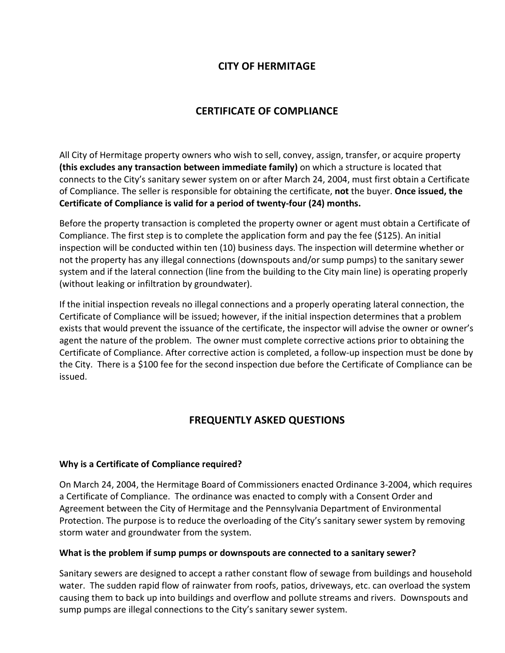## **CITY OF HERMITAGE**

# **CERTIFICATE OF COMPLIANCE**

All City of Hermitage property owners who wish to sell, convey, assign, transfer, or acquire property **(this excludes any transaction between immediate family)** on which a structure is located that connects to the City's sanitary sewer system on or after March 24, 2004, must first obtain a Certificate of Compliance. The seller is responsible for obtaining the certificate, **not** the buyer. **Once issued, the Certificate of Compliance is valid for a period of twenty-four (24) months.** 

Before the property transaction is completed the property owner or agent must obtain a Certificate of Compliance. The first step is to complete the application form and pay the fee (\$125). An initial inspection will be conducted within ten (10) business days. The inspection will determine whether or not the property has any illegal connections (downspouts and/or sump pumps) to the sanitary sewer system and if the lateral connection (line from the building to the City main line) is operating properly (without leaking or infiltration by groundwater).

If the initial inspection reveals no illegal connections and a properly operating lateral connection, the Certificate of Compliance will be issued; however, if the initial inspection determines that a problem exists that would prevent the issuance of the certificate, the inspector will advise the owner or owner's agent the nature of the problem. The owner must complete corrective actions prior to obtaining the Certificate of Compliance. After corrective action is completed, a follow-up inspection must be done by the City. There is a \$100 fee for the second inspection due before the Certificate of Compliance can be issued.

# **FREQUENTLY ASKED QUESTIONS**

#### **Why is a Certificate of Compliance required?**

On March 24, 2004, the Hermitage Board of Commissioners enacted Ordinance 3-2004, which requires a Certificate of Compliance. The ordinance was enacted to comply with a Consent Order and Agreement between the City of Hermitage and the Pennsylvania Department of Environmental Protection. The purpose is to reduce the overloading of the City's sanitary sewer system by removing storm water and groundwater from the system.

#### **What is the problem if sump pumps or downspouts are connected to a sanitary sewer?**

Sanitary sewers are designed to accept a rather constant flow of sewage from buildings and household water. The sudden rapid flow of rainwater from roofs, patios, driveways, etc. can overload the system causing them to back up into buildings and overflow and pollute streams and rivers. Downspouts and sump pumps are illegal connections to the City's sanitary sewer system.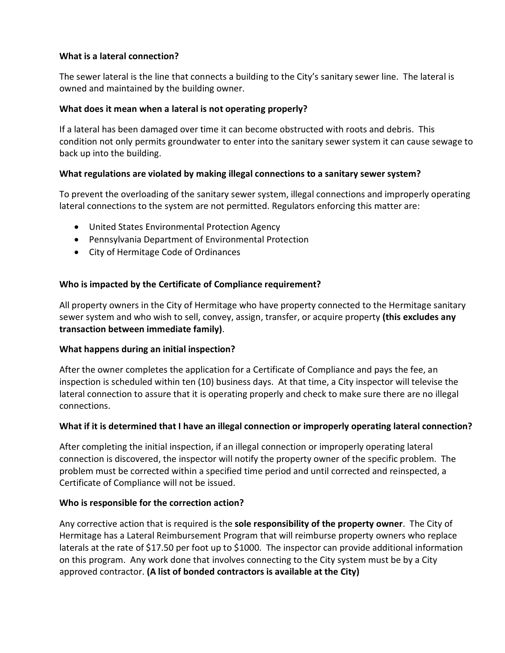#### **What is a lateral connection?**

The sewer lateral is the line that connects a building to the City's sanitary sewer line. The lateral is owned and maintained by the building owner.

#### **What does it mean when a lateral is not operating properly?**

If a lateral has been damaged over time it can become obstructed with roots and debris. This condition not only permits groundwater to enter into the sanitary sewer system it can cause sewage to back up into the building.

#### **What regulations are violated by making illegal connections to a sanitary sewer system?**

To prevent the overloading of the sanitary sewer system, illegal connections and improperly operating lateral connections to the system are not permitted. Regulators enforcing this matter are:

- · United States Environmental Protection Agency
- · Pennsylvania Department of Environmental Protection
- · City of Hermitage Code of Ordinances

### **Who is impacted by the Certificate of Compliance requirement?**

All property owners in the City of Hermitage who have property connected to the Hermitage sanitary sewer system and who wish to sell, convey, assign, transfer, or acquire property **(this excludes any transaction between immediate family)**.

#### **What happens during an initial inspection?**

After the owner completes the application for a Certificate of Compliance and pays the fee, an inspection is scheduled within ten (10) business days. At that time, a City inspector will televise the lateral connection to assure that it is operating properly and check to make sure there are no illegal connections.

### **What if it is determined that I have an illegal connection or improperly operating lateral connection?**

After completing the initial inspection, if an illegal connection or improperly operating lateral connection is discovered, the inspector will notify the property owner of the specific problem. The problem must be corrected within a specified time period and until corrected and reinspected, a Certificate of Compliance will not be issued.

#### **Who is responsible for the correction action?**

Any corrective action that is required is the **sole responsibility of the property owner**. The City of Hermitage has a Lateral Reimbursement Program that will reimburse property owners who replace laterals at the rate of \$17.50 per foot up to \$1000. The inspector can provide additional information on this program. Any work done that involves connecting to the City system must be by a City approved contractor. **(A list of bonded contractors is available at the City)**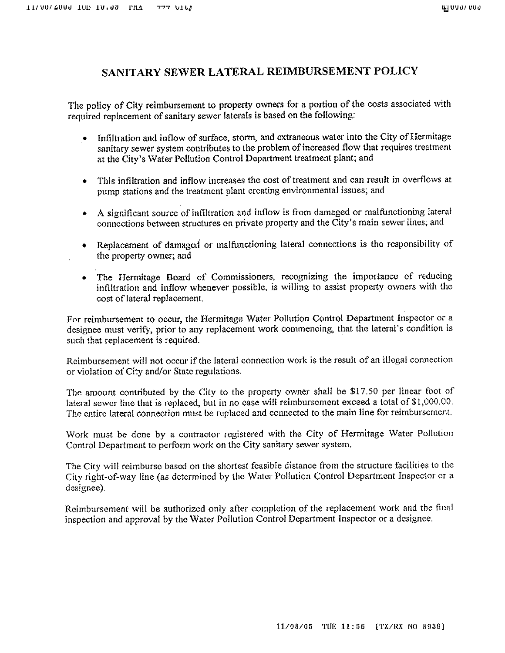# SANITARY SEWER LATERAL REIMBURSEMENT POLICY

The policy of City reimbursement to property owners for a portion of the costs associated with required replacement of sanitary sewer laterals is based on the following:

- Infiltration and inflow of surface, storm, and extraneous water into the City of Hermitage sanitary sewer system contributes to the problem of increased flow that requires treatment at the City's Water Pollution Control Department treatment plant; and
- This infiltration and inflow increases the cost of treatment and can result in overflows at pump stations and the treatment plant creating environmental issues; and
- A significant source of infiltration and inflow is from damaged or malfunctioning lateral connections between structures on private property and the City's main sewer lines; and
- Replacement of damaged or malfunctioning lateral connections is the responsibility of the property owner; and
- The Hermitage Board of Commissioners, recognizing the importance of reducing infiltration and inflow whenever possible, is willing to assist property owners with the cost of lateral replacement.

For reimbursement to occur, the Hermitage Water Pollution Control Department Inspector or a designee must verify, prior to any replacement work commencing, that the lateral's condition is such that replacement is required.

Reimbursement will not occur if the lateral connection work is the result of an illegal connection or violation of City and/or State regulations.

The amount contributed by the City to the property owner shall be \$17.50 per linear foot of lateral sewer line that is replaced, but in no case will reimbursement exceed a total of \$1,000.00. The entire lateral connection must be replaced and connected to the main line for reimbursement.

Work must be done by a contractor registered with the City of Hermitage Water Pollution Control Department to perform work on the City sanitary sewer system.

The City will reimburse based on the shortest feasible distance from the structure facilities to the City right-of-way line (as determined by the Water Pollution Control Department Inspector or a designee).

Reimbursement will be authorized only after completion of the replacement work and the final inspection and approval by the Water Pollution Control Department Inspector or a designee.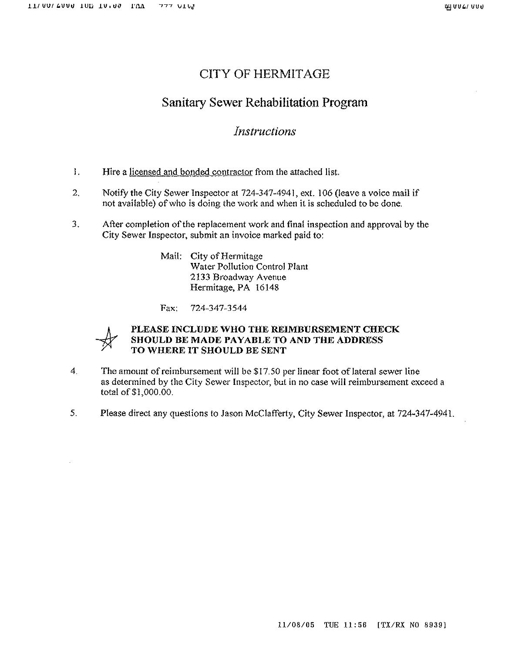# **CITY OF HERMITAGE**

# Sanitary Sewer Rehabilitation Program

# Instructions

- $\mathbf{1}$ . Hire a licensed and bonded contractor from the attached list.
- $2<sub>1</sub>$ Notify the City Sewer Inspector at 724-347-4941, ext. 106 (leave a voice mail if not available) of who is doing the work and when it is scheduled to be done.
- $3<sub>1</sub>$ After completion of the replacement work and final inspection and approval by the City Sewer Inspector, submit an invoice marked paid to:

Mail: City of Hermitage Water Pollution Control Plant 2133 Broadway Avenue Hermitage, PA 16148

724-347-3544 Fax:



#### PLEASE INCLUDE WHO THE REIMBURSEMENT CHECK SHOULD BE MADE PAYABLE TO AND THE ADDRESS TO WHERE IT SHOULD BE SENT

- $\Delta$ The amount of reimbursement will be \$17.50 per linear foot of lateral sewer line as determined by the City Sewer Inspector, but in no case will reimbursement exceed a total of \$1,000.00.
- 5. Please direct any questions to Jason McClafferty, City Sewer Inspector, at 724-347-4941.